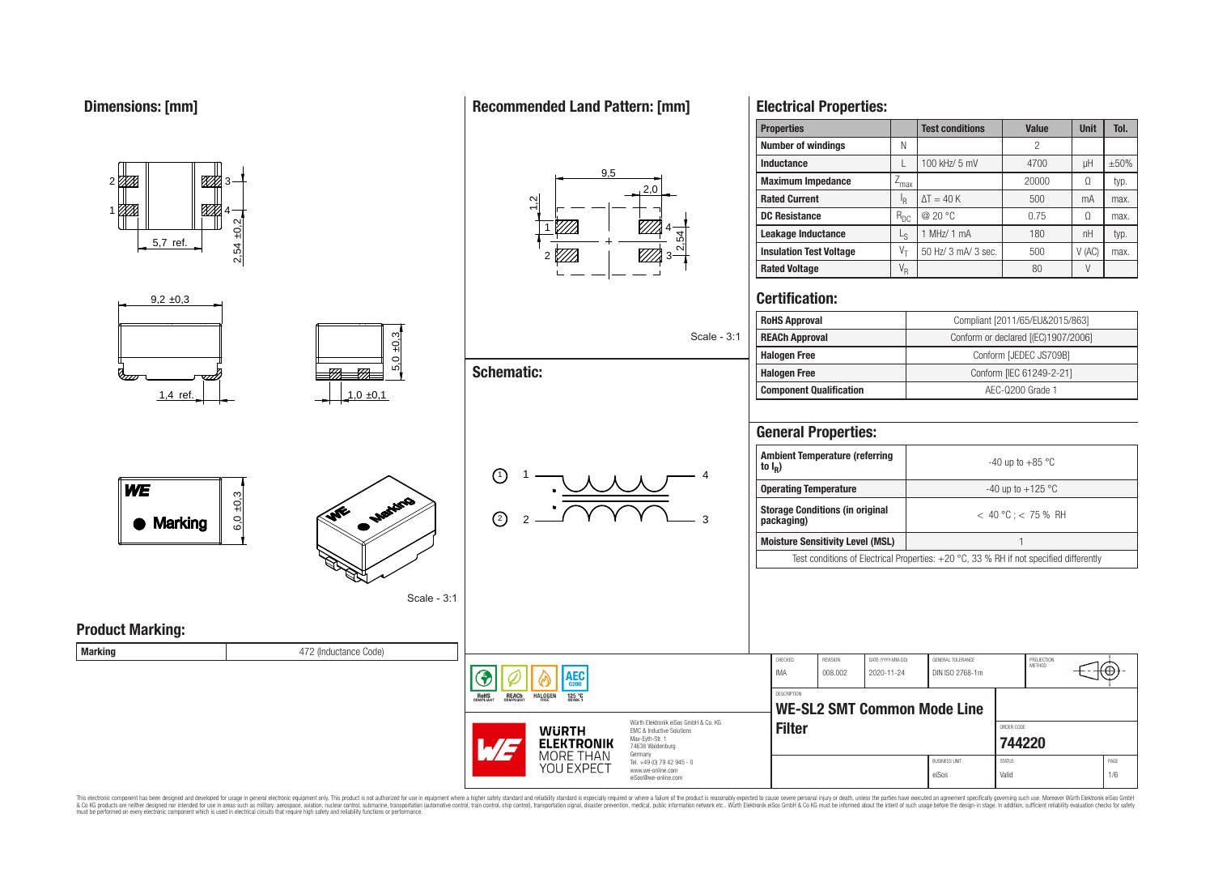1

01 TX

**WE** 

#### **Electrical Properties: Properties Test conditions Value Unit Tol. Number of windings** N N 2 **Inductance** L 100 kHz/ 5 mV  $\vert$  4700  $\vert$   $\mu$ H  $\vert$  ±50%  $9<sub>5</sub>$ <u>87%</u> **Maximum Impedance**  $\boxed{Z_{\text{max}}}$   $\boxed{20000}$   $\boxed{\Omega}$  typ.  $2<sub>0</sub>$ **Rated Current** I<sub>R</sub>  $\Delta T = 40 \text{ K}$   $\phantom{00}$  500 mA max.  $\frac{1}{2}$ ▨ 4 **DC Resistance**  $R_{DC}$   $\omega$  20 °C 0.75  $\Omega$  max. 2,54 ±0,2 1 4 **Leakage Inductance**  $\qquad \qquad \vert \qquad \vert_{\mathcal{S}}$ 1 MHz/ 1 mA  $\vert$  180 | nH | typ. 2,54 5,7 ref. **Insulation Test Voltage**  $V_T$  50 Hz/ 3 mA/ 3 sec.  $V$  500  $V$  (AC) max. 2 *V//A* 3 **Rated Voltage** V<sup>R</sup> 80 V **Certification:**  $9.2 \pm 0.3$ **RoHS Approval** Compliant [2011/65/EU&2015/863]  $5,0 \pm 0,3$ Scale - 3:1 **Schematic:** 777  $\overline{\sigma}$ 1.4 ref.  $\begin{array}{|c|c|c|c|c|c|} \hline \end{array}$  1.0 ±0.1 **General Properties: Ambient Temperature (referring to I<sup>R</sup> )** 1)  $1 - 1$   $1 - 4$ 1  $6,0,0.3$ **Storage Conditions (in original** ىي 2 2 3 Marking **Moisture Sensitivity Level (MSL)** 1 Scale - 3:1 **Product Marking:**

**Marking Marking Marking 1988 Marking 1988 1999 1999 1999 1999 1999 1999 1999 1999 1999 1999 1999 1999 1999 1999 1999 1999 1999 1999 1999 1999 1999 1999 1999 1999**

CHECKED REVISION DATE (YYYY-MM-DD) GENERAL TOLERANCE PROJECTION<br>METHOD ⊛ IMA 008.002 2020-11-24 DIN ISO 2768-1m ۱EС **DESCRIPTION HALOGEN**  $125 °C$ **WE-SL2 SMT Common Mode Line** Würth Elektronik eiSos GmbH & Co. KG **Filter** ORDER CODE **WURTH** EMC & Inductive Solutions Max-Eyth-Str. 1 **[744220](https://www.we-online.com/catalog/en/article/744220) ELEKTRONIK** 74638 Waldenburg MORE THAN Germany Tel. +49 (0) 79 42 945 - 0 BUSINESS UNIT STATUS STATUS STATUS AND STATUS AND STATUS STATUS STATUS AND STATUS STATUS STATUS STATUS AND STATUS STATUS AND LOCAL AND A STATUS AND LOCAL AND A STATUS AND LOCAL AND A STATUS AND LOCAL AND LOCAL AND LOCAL AN YOU EXPECT www.we-online.com eiSos Valid 1/6 eiSos@we-online.com

This electronic component has been designed and developed for usage in general electronic equipment only. This product is not authorized for use in equipment where a higher safely standard and reliability standard si espec & Ook product a label and the membed of the seasuch as marked and as which such a membed and the such assume that income in the seasuch and the simulation and the such assume that include to the such a membed and the such

**RoHS** 

**REACH** 

## **Recommended Land Pattern: [mm]**

# **REACh Approval Conform or declared [(EC)1907/2006] Halogen Free Conform [JEDEC JS709B] Halogen Free** Conform [IEC 61249-2-21] **Component Qualification a AEC-Q200 Grade 1**

| <b>Ambient Temperature (referring</b><br>to $I_R$ )                                      | $-40$ up to $+85$ °C    |  |  |  |  |
|------------------------------------------------------------------------------------------|-------------------------|--|--|--|--|
| <b>Operating Temperature</b>                                                             | -40 up to $+125$ °C     |  |  |  |  |
| <b>Storage Conditions (in original</b><br>packaging)                                     | $<$ 40 °C : $<$ 75 % RH |  |  |  |  |
| <b>Moisture Sensitivity Level (MSL)</b>                                                  |                         |  |  |  |  |
| Test conditions of Electrical Properties: $+20$ °C, 33 % RH if not specified differently |                         |  |  |  |  |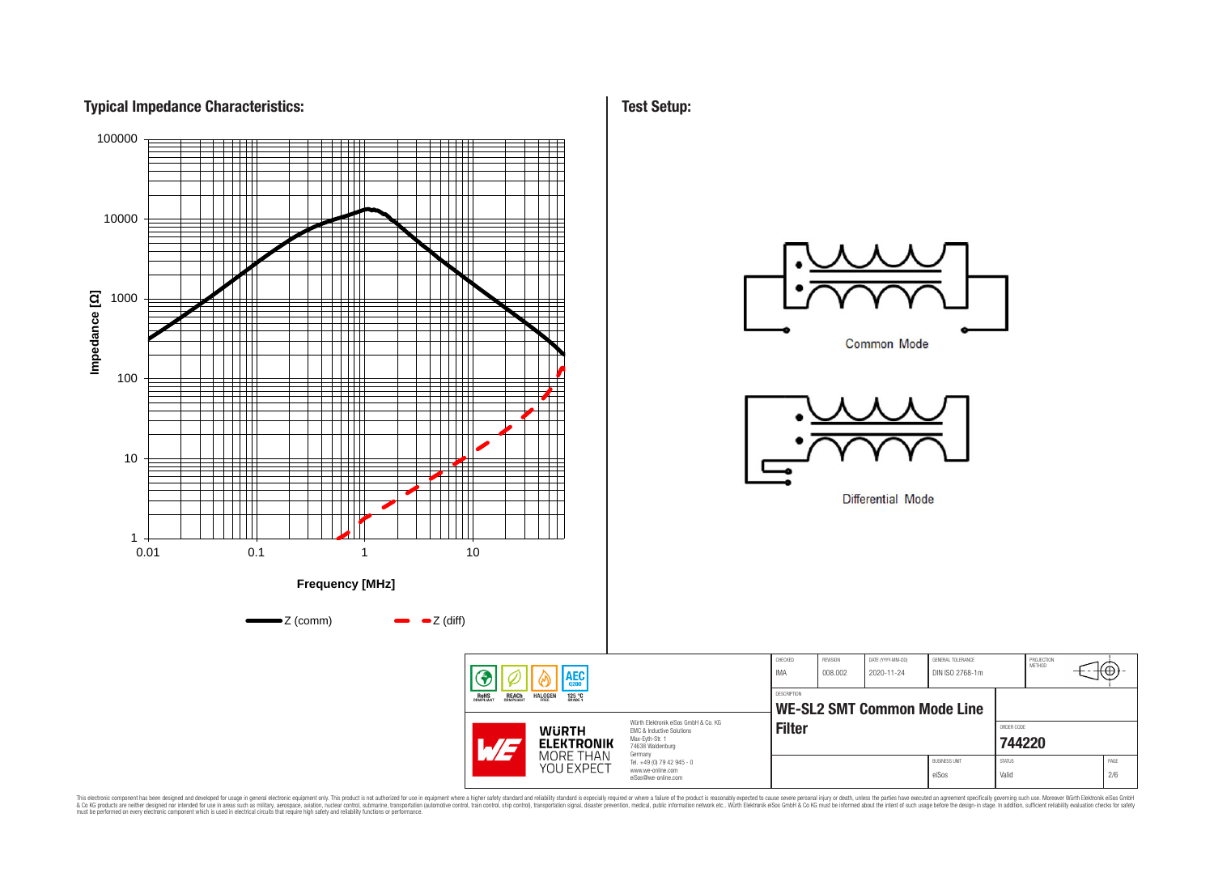## **Typical Impedance Characteristics:**



This electronic component has been designed and developed for usage in general electronic equipment only. This product is not authorized for subserved requipment where a higher selection equipment where a higher selection

**Test Setup:**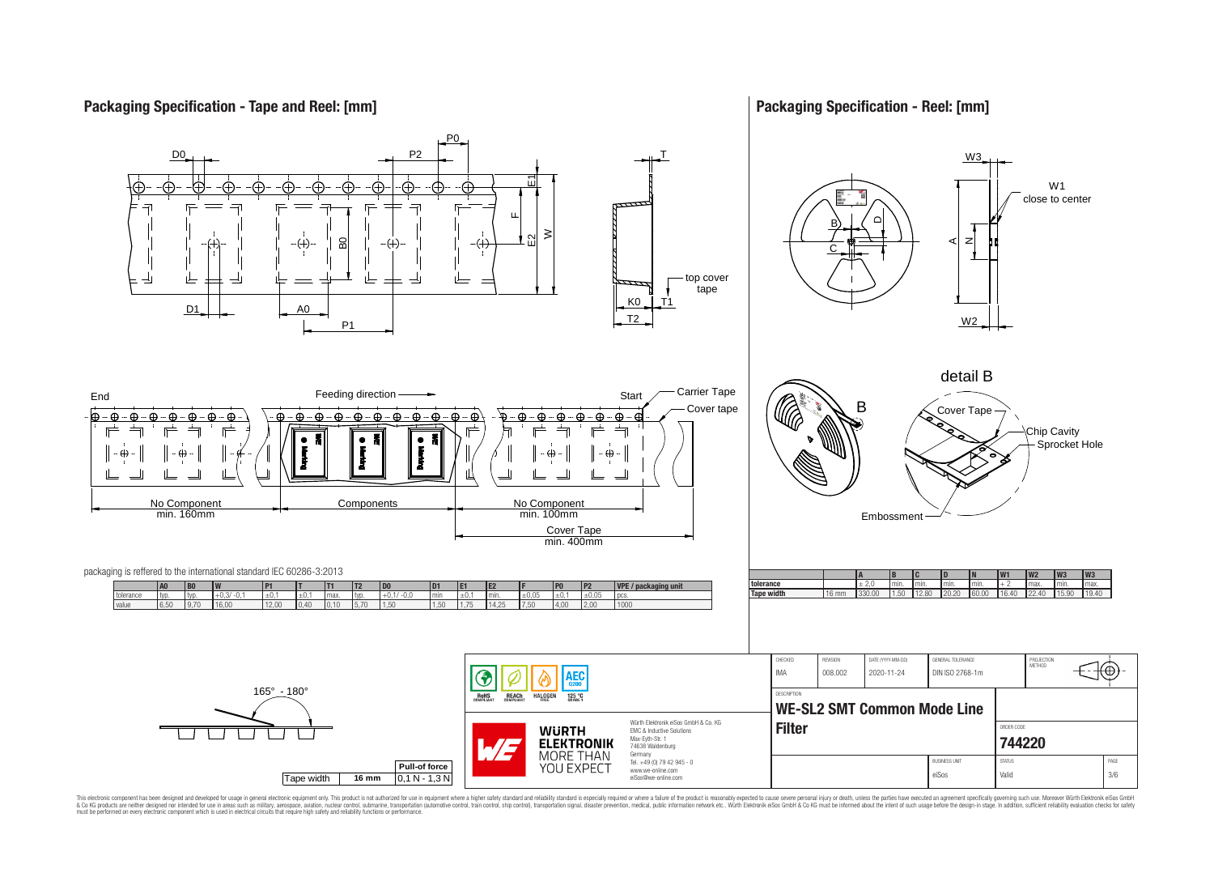## **Packaging Specification - Tape and Reel: [mm]**

## **Packaging Specification - Reel: [mm]**



This electronic component has been designed and developed for usage in general electronic equipment only. This product is not authorized for subserved requipment where a higher selection equipment where a higher selection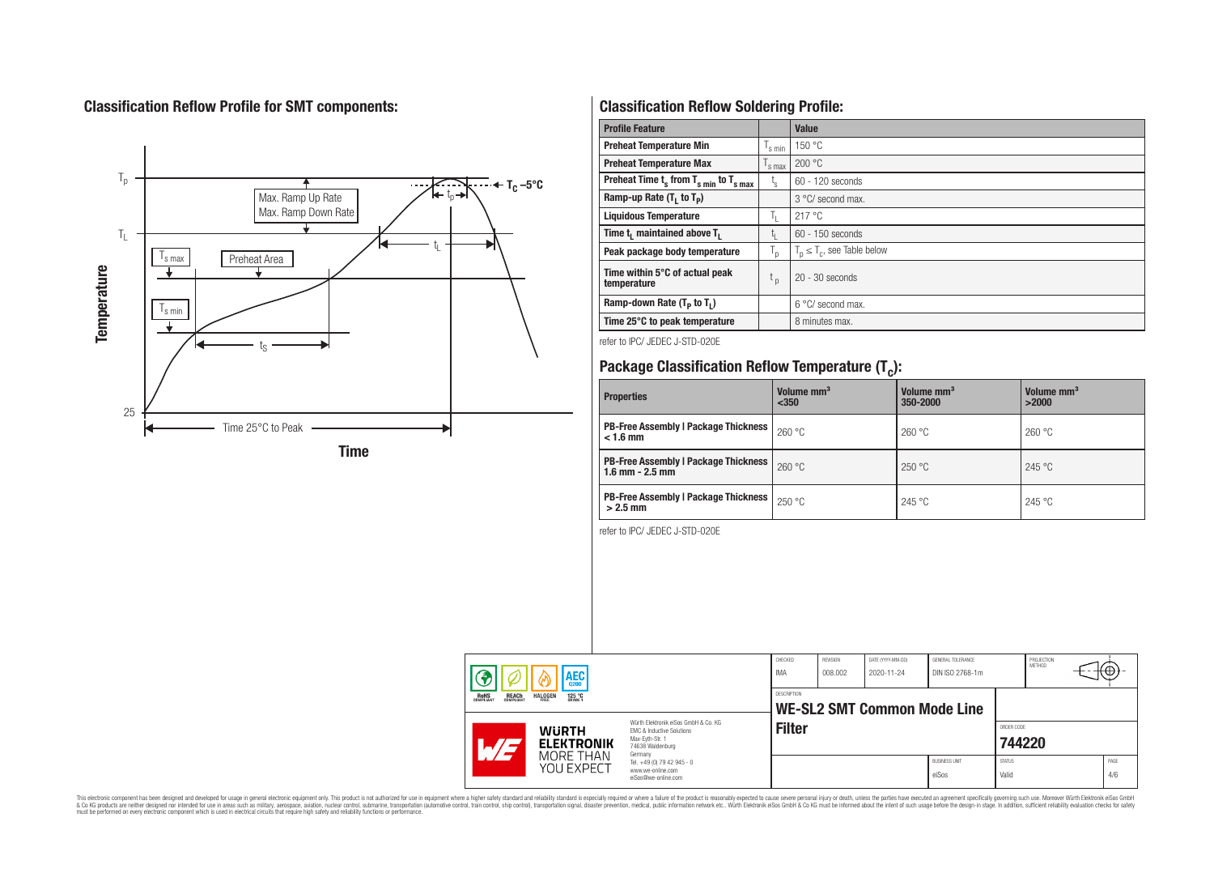## **Classification Reflow Profile for SMT components:**



## **Classification Reflow Soldering Profile:**

| <b>Profile Feature</b>                              |                    | <b>Value</b>                     |
|-----------------------------------------------------|--------------------|----------------------------------|
| <b>Preheat Temperature Min</b>                      | s min              | 150 °C                           |
| <b>Preheat Temperature Max</b>                      | <sup>I</sup> s max | 200 °C                           |
| Preheat Time $t_s$ from $T_{s min}$ to $T_{s max}$  | $t_{\rm s}$        | $60 - 120$ seconds               |
| Ramp-up Rate $(T_1$ to $T_p$ )                      |                    | 3 °C/ second max.                |
| <b>Liquidous Temperature</b>                        | T <sub>L</sub>     | 217°C                            |
| Time t <sub>1</sub> maintained above T <sub>1</sub> | t,                 | 60 - 150 seconds                 |
| Peak package body temperature                       | ' p                | $T_p \leq T_c$ , see Table below |
| Time within 5°C of actual peak<br>temperature       | t <sub>p</sub>     | $20 - 30$ seconds                |
| Ramp-down Rate $(T_p$ to $T_1$ )                    |                    | $6^{\circ}$ C/ second max.       |
| Time 25°C to peak temperature                       |                    | 8 minutes max.                   |

refer to IPC/ JEDEC J-STD-020E

## **Package Classification Reflow Temperature (T<sup>c</sup> ):**

| <b>Properties</b>                                                    | Volume mm <sup>3</sup><br>$350$ | Volume mm <sup>3</sup><br>350-2000 | Volume mm <sup>3</sup><br>>2000 |
|----------------------------------------------------------------------|---------------------------------|------------------------------------|---------------------------------|
| <b>PB-Free Assembly   Package Thickness  </b><br>$< 1.6$ mm          | 260 °C                          | 260 °C                             | 260 °C                          |
| <b>PB-Free Assembly   Package Thickness  </b><br>$1.6$ mm $- 2.5$ mm | 260 °C                          | 250 °C                             | 245 °C                          |
| <b>PB-Free Assembly   Package Thickness  </b><br>$>2.5$ mm           | 250 °C                          | 245 °C                             | 245 °C                          |

refer to IPC/ JEDEC J-STD-020E

| <b>AEC</b> |                                                                                                                                                          | CHECKED<br>IMA                      | REVISION<br>008.002                                                    | DATE (YYYY-MM-DD)<br>2020-11-24 | GENERAL TOLERANCE<br>DIN ISO 2768-1m |                                    | PROJECTION<br>METHOD          | ťΨ                     |  |             |
|------------|----------------------------------------------------------------------------------------------------------------------------------------------------------|-------------------------------------|------------------------------------------------------------------------|---------------------------------|--------------------------------------|------------------------------------|-------------------------------|------------------------|--|-------------|
|            | <b>REACH</b><br>COMPLIANT<br><b>ROHS</b><br>COMPLIANT                                                                                                    | <b>HALOGEN</b><br>125 °C<br>GRADE 1 |                                                                        | <b>DESCRIPTION</b>              |                                      | <b>WE-SL2 SMT Common Mode Line</b> |                               |                        |  |             |
|            | Würth Flektronik eiSos GmbH & Co. KG<br><b>WURTH</b><br>EMC & Inductive Solutions<br>Max-Eyth-Str. 1<br><b>ELEKTRONIK</b><br>74638 Waldenburg<br>Germany |                                     | <b>Filter</b>                                                          |                                 |                                      |                                    | ORDER CODE<br>744220          |                        |  |             |
|            |                                                                                                                                                          | MORE THAN<br>YOU EXPECT             | Tel. +49 (0) 79 42 945 - 0<br>www.we-online.com<br>eiSos@we-online.com |                                 |                                      |                                    | <b>BUSINESS UNIT</b><br>eiSos | <b>STATUS</b><br>Valid |  | PAGE<br>4/6 |

This electronic component has been designed and developed for usage in general electronic equipment only. This product is not authorized for subserved requipment where a higher selection equipment where a higher selection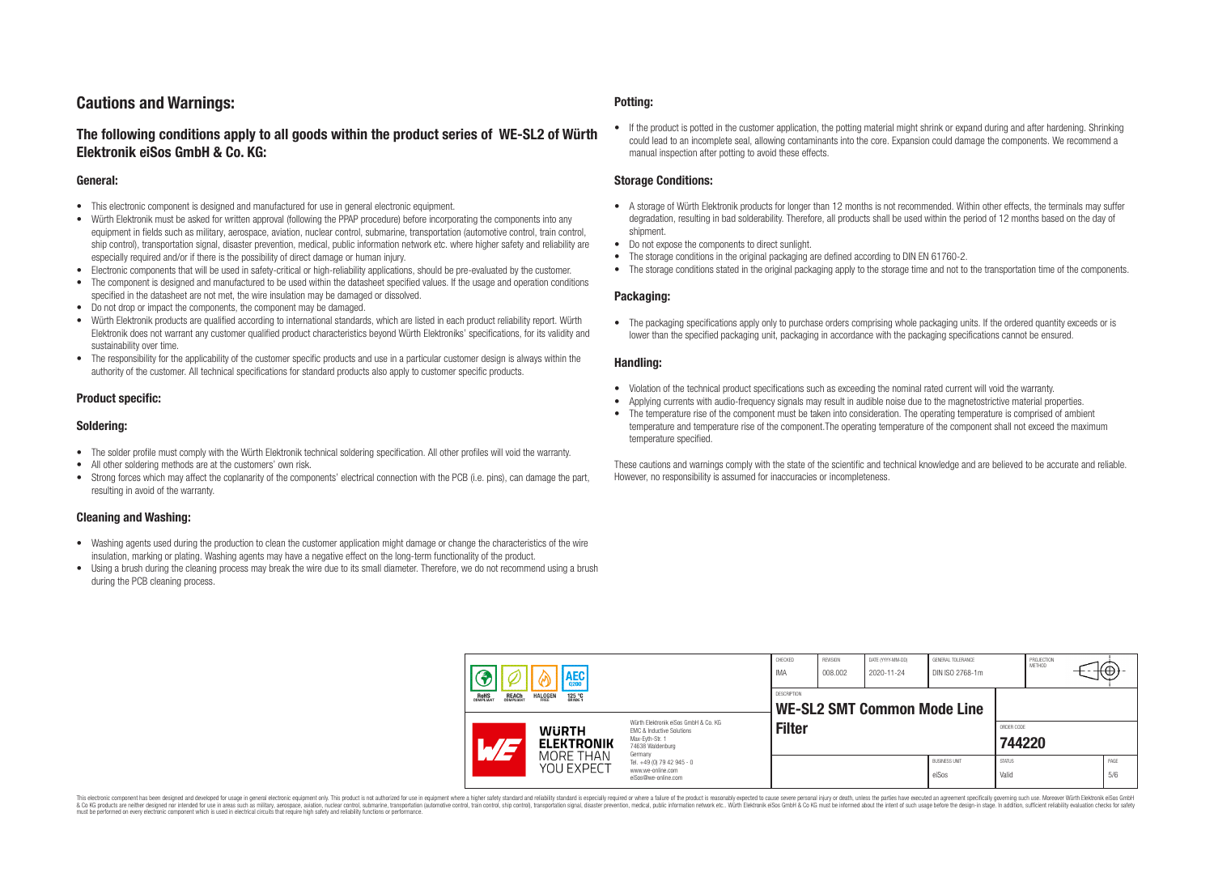## **Cautions and Warnings:**

## **The following conditions apply to all goods within the product series of WE-SL2 of Würth Elektronik eiSos GmbH & Co. KG:**

#### **General:**

- This electronic component is designed and manufactured for use in general electronic equipment.
- Würth Elektronik must be asked for written approval (following the PPAP procedure) before incorporating the components into any equipment in fields such as military, aerospace, aviation, nuclear control, submarine, transportation (automotive control, train control, ship control), transportation signal, disaster prevention, medical, public information network etc. where higher safety and reliability are especially required and/or if there is the possibility of direct damage or human injury.
- Electronic components that will be used in safety-critical or high-reliability applications, should be pre-evaluated by the customer.
- The component is designed and manufactured to be used within the datasheet specified values. If the usage and operation conditions specified in the datasheet are not met, the wire insulation may be damaged or dissolved.
- Do not drop or impact the components, the component may be damaged.
- Würth Elektronik products are qualified according to international standards, which are listed in each product reliability report. Würth Elektronik does not warrant any customer qualified product characteristics beyond Würth Elektroniks' specifications, for its validity and sustainability over time.
- The responsibility for the applicability of the customer specific products and use in a particular customer design is always within the authority of the customer. All technical specifications for standard products also apply to customer specific products.

#### **Product specific:**

#### **Soldering:**

- The solder profile must comply with the Würth Elektronik technical soldering specification. All other profiles will void the warranty.
- All other soldering methods are at the customers' own risk.
- Strong forces which may affect the coplanarity of the components' electrical connection with the PCB (i.e. pins), can damage the part, resulting in avoid of the warranty.

#### **Cleaning and Washing:**

- Washing agents used during the production to clean the customer application might damage or change the characteristics of the wire insulation, marking or plating. Washing agents may have a negative effect on the long-term functionality of the product.
- Using a brush during the cleaning process may break the wire due to its small diameter. Therefore, we do not recommend using a brush during the PCB cleaning process.

#### **Potting:**

• If the product is potted in the customer application, the potting material might shrink or expand during and after hardening. Shrinking could lead to an incomplete seal, allowing contaminants into the core. Expansion could damage the components. We recommend a manual inspection after potting to avoid these effects.

#### **Storage Conditions:**

- A storage of Würth Elektronik products for longer than 12 months is not recommended. Within other effects, the terminals may suffer degradation, resulting in bad solderability. Therefore, all products shall be used within the period of 12 months based on the day of shipment.
- Do not expose the components to direct sunlight.
- The storage conditions in the original packaging are defined according to DIN EN 61760-2.
- The storage conditions stated in the original packaging apply to the storage time and not to the transportation time of the components.

#### **Packaging:**

• The packaging specifications apply only to purchase orders comprising whole packaging units. If the ordered quantity exceeds or is lower than the specified packaging unit, packaging in accordance with the packaging specifications cannot be ensured.

#### **Handling:**

- Violation of the technical product specifications such as exceeding the nominal rated current will void the warranty.
- Applying currents with audio-frequency signals may result in audible noise due to the magnetostrictive material properties.
- The temperature rise of the component must be taken into consideration. The operating temperature is comprised of ambient temperature and temperature rise of the component.The operating temperature of the component shall not exceed the maximum temperature specified.

These cautions and warnings comply with the state of the scientific and technical knowledge and are believed to be accurate and reliable. However, no responsibility is assumed for inaccuracies or incompleteness.

|                                                                                                                                                          | <b>AEC</b><br>0200                  |                                                                        | CHECKED<br>IMA     | <b>REVISION</b><br>008.002 | DATE (YYYY-MM-DD)<br>2020-11-24 | GENERAL TOLERANCE<br>DIN ISO 2768-1m |                        | PROJECTION<br><b>METHOD</b> | ⊣t⊕∗ |             |
|----------------------------------------------------------------------------------------------------------------------------------------------------------|-------------------------------------|------------------------------------------------------------------------|--------------------|----------------------------|---------------------------------|--------------------------------------|------------------------|-----------------------------|------|-------------|
| <b>ROHS</b><br>COMPLIANT<br><b>REACH</b><br>COMPLIANT                                                                                                    | <b>HALOGEN</b><br>125 °C<br>GRADE 1 |                                                                        | <b>DESCRIPTION</b> |                            | WE-SL2 SMT Common Mode Line     |                                      |                        |                             |      |             |
| Würth Elektronik eiSos GmbH & Co. KG<br><b>WURTH</b><br>EMC & Inductive Solutions<br>Max-Eyth-Str. 1<br><b>ELEKTRONIK</b><br>74638 Waldenburg<br>Germany |                                     | <b>Filter</b>                                                          |                    |                            |                                 |                                      | ORDER CODE<br>744220   |                             |      |             |
|                                                                                                                                                          | MORE THAN<br>YOU EXPECT             | Tel. +49 (0) 79 42 945 - 0<br>www.we-online.com<br>eiSos@we-online.com |                    |                            |                                 | <b>BUSINESS UNIT</b><br>eiSos        | <b>STATUS</b><br>Valid |                             |      | PAGE<br>5/6 |

This electronic component has been designed and developed for usage in general electronic equipment only. This product is not authorized for use in equipment where a higher safety standard and reliability standard si espec & Ook product a label and the membed of the seasuch as marked and as which such a membed and the such assume that income in the seasuch and the simulation and the such assume that include to the such a membed and the such